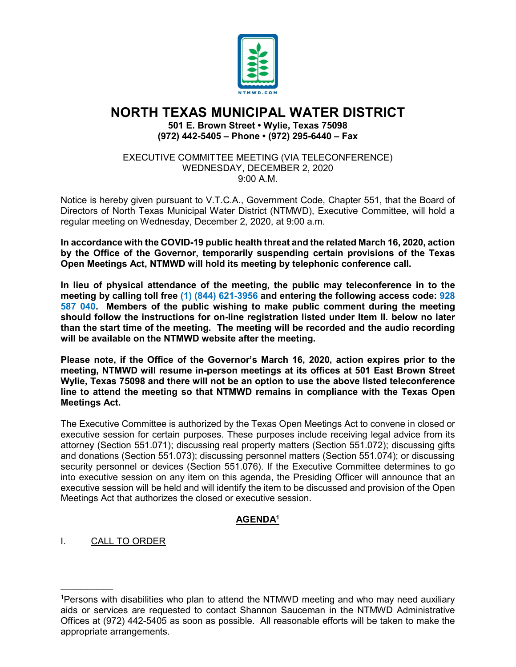

# **NORTH TEXAS MUNICIPAL WATER DISTRICT**

**501 E. Brown Street • Wylie, Texas 75098 (972) 442-5405 – Phone • (972) 295-6440 – Fax**

EXECUTIVE COMMITTEE MEETING (VIA TELECONFERENCE) WEDNESDAY, DECEMBER 2, 2020 9:00 A.M.

Notice is hereby given pursuant to V.T.C.A., Government Code, Chapter 551, that the Board of Directors of North Texas Municipal Water District (NTMWD), Executive Committee, will hold a regular meeting on Wednesday, December 2, 2020, at 9:00 a.m.

**In accordance with the COVID-19 public health threat and the related March 16, 2020, action by the Office of the Governor, temporarily suspending certain provisions of the Texas Open Meetings Act, NTMWD will hold its meeting by telephonic conference call.** 

**In lieu of physical attendance of the meeting, the public may teleconference in to the meeting by calling toll free (1) (844) 621-3956 and entering the following access code: 928 587 040. Members of the public wishing to make public comment during the meeting should follow the instructions for on-line registration listed under Item II. below no later than the start time of the meeting. The meeting will be recorded and the audio recording will be available on the NTMWD website after the meeting.**

**Please note, if the Office of the Governor's March 16, 2020, action expires prior to the meeting, NTMWD will resume in-person meetings at its offices at 501 East Brown Street Wylie, Texas 75098 and there will not be an option to use the above listed teleconference line to attend the meeting so that NTMWD remains in compliance with the Texas Open Meetings Act.** 

The Executive Committee is authorized by the Texas Open Meetings Act to convene in closed or executive session for certain purposes. These purposes include receiving legal advice from its attorney (Section 551.071); discussing real property matters (Section 551.072); discussing gifts and donations (Section 551.073); discussing personnel matters (Section 551.074); or discussing security personnel or devices (Section 551.076). If the Executive Committee determines to go into executive session on any item on this agenda, the Presiding Officer will announce that an executive session will be held and will identify the item to be discussed and provision of the Open Meetings Act that authorizes the closed or executive session.

## **AGENDA1**

I. CALL TO ORDER

 $\overline{\phantom{a}}$  , where  $\overline{\phantom{a}}$ 

<sup>1</sup> Persons with disabilities who plan to attend the NTMWD meeting and who may need auxiliary aids or services are requested to contact Shannon Sauceman in the NTMWD Administrative Offices at (972) 442-5405 as soon as possible. All reasonable efforts will be taken to make the appropriate arrangements.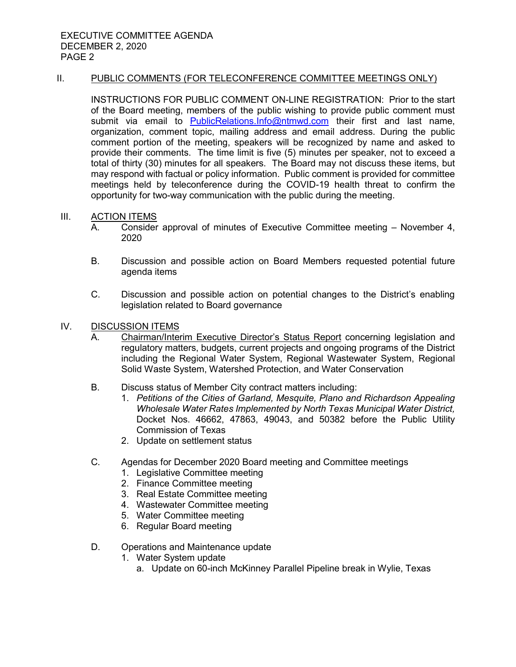#### II. PUBLIC COMMENTS (FOR TELECONFERENCE COMMITTEE MEETINGS ONLY)

INSTRUCTIONS FOR PUBLIC COMMENT ON-LINE REGISTRATION: Prior to the start of the Board meeting, members of the public wishing to provide public comment must submit via email to [PublicRelations.Info@ntmwd.com](mailto:PublicRelations.Info@ntmwd.com) their first and last name, organization, comment topic, mailing address and email address. During the public comment portion of the meeting, speakers will be recognized by name and asked to provide their comments. The time limit is five (5) minutes per speaker, not to exceed a total of thirty (30) minutes for all speakers. The Board may not discuss these items, but may respond with factual or policy information. Public comment is provided for committee meetings held by teleconference during the COVID-19 health threat to confirm the opportunity for two-way communication with the public during the meeting.

#### III. ACTION ITEMS

- A. Consider approval of minutes of Executive Committee meeting November 4, 2020
- B. Discussion and possible action on Board Members requested potential future agenda items
- C. Discussion and possible action on potential changes to the District's enabling legislation related to Board governance
- IV. DISCUSSION ITEMS
	- A. Chairman/Interim Executive Director's Status Report concerning legislation and regulatory matters, budgets, current projects and ongoing programs of the District including the Regional Water System, Regional Wastewater System, Regional Solid Waste System, Watershed Protection, and Water Conservation
	- B. Discuss status of Member City contract matters including:
		- 1. *Petitions of the Cities of Garland, Mesquite, Plano and Richardson Appealing Wholesale Water Rates Implemented by North Texas Municipal Water District,*  Docket Nos. 46662, 47863, 49043, and 50382 before the Public Utility Commission of Texas
		- 2. Update on settlement status
	- C. Agendas for December 2020 Board meeting and Committee meetings
		- 1. Legislative Committee meeting
		- 2. Finance Committee meeting
		- 3. Real Estate Committee meeting
		- 4. Wastewater Committee meeting
		- 5. Water Committee meeting
		- 6. Regular Board meeting
	- D. Operations and Maintenance update
		- 1. Water System update
			- a. Update on 60-inch McKinney Parallel Pipeline break in Wylie, Texas